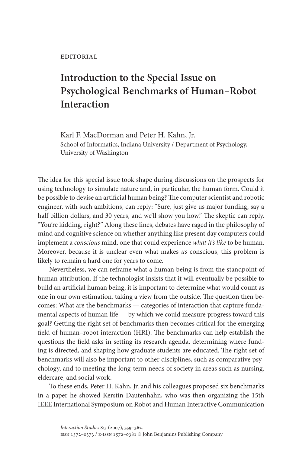## **Introduction to the Special Issue on Psychological Benchmarks of Human–Robot Interaction**

Karl F. MacDorman and Peter H. Kahn, Jr. School of Informatics, Indiana University / Department of Psychology, University of Washington

The idea for this special issue took shape during discussions on the prospects for using technology to simulate nature and, in particular, the human form. Could it be possible to devise an artificial human being? The computer scientist and robotic engineer, with such ambitions, can reply: "Sure, just give us major funding, say a half billion dollars, and 30 years, and we'll show you how." The skeptic can reply, "You're kidding, right?" Along these lines, debates have raged in the philosophy of mind and cognitive science on whether anything like present day computers could implement a *conscious* mind, one that could experience *what it's like* to be human. Moreover, because it is unclear even what makes *us* conscious, this problem is likely to remain a hard one for years to come.

Nevertheless, we can reframe what a human being is from the standpoint of human attribution. If the technologist insists that it will eventually be possible to build an artificial human being, it is important to determine what would count as one in our own estimation, taking a view from the outside. The question then becomes: What are the benchmarks — categories of interaction that capture fundamental aspects of human life — by which we could measure progress toward this goal? Getting the right set of benchmarks then becomes critical for the emerging field of human–robot interaction (HRI). The benchmarks can help establish the questions the field asks in setting its research agenda, determining where funding is directed, and shaping how graduate students are educated. The right set of benchmarks will also be important to other disciplines, such as comparative psychology, and to meeting the long-term needs of society in areas such as nursing, eldercare, and social work.

To these ends, Peter H. Kahn, Jr. and his colleagues proposed six benchmarks in a paper he showed Kerstin Dautenhahn, who was then organizing the 15th IEEE International Symposium on Robot and Human Interactive Communication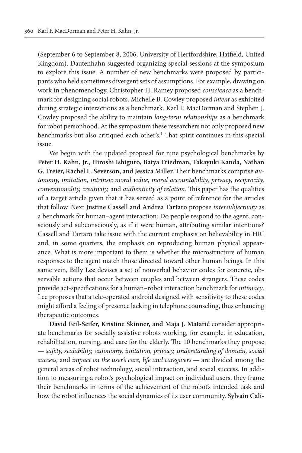(September 6 to September 8, 2006, University of Hertfordshire, Hatfield, United Kingdom). Dautenhahn suggested organizing special sessions at the symposium to explore this issue. A number of new benchmarks were proposed by participants who held sometimes divergent sets of assumptions. For example, drawing on work in phenomenology, Christopher H. Ramey proposed *conscience* as a benchmark for designing social robots. Michelle B. Cowley proposed *intent* as exhibited during strategic interactions as a benchmark. Karl F. MacDorman and Stephen J. Cowley proposed the ability to maintain *long-term relationships* as a benchmark for robot personhood. At the symposium these researchers not only proposed new benchmarks but also critiqued each other's.<sup>1</sup> That spirit continues in this special issue.

We begin with the updated proposal for nine psychological benchmarks by **Peter H. Kahn, Jr., Hiroshi Ishiguro, Batya Friedman, Takayuki Kanda, Nathan G. Freier, Rachel L. Severson, and Jessica Miller.** Their benchmarks comprise *autonomy, imitation, intrinsic moral value, moral accountability, privacy, reciprocity, conventionality, creativity,* and *authenticity of relation.* This paper has the qualities of a target article given that it has served as a point of reference for the articles that follow. Next **Justine Cassell and Andrea Tartaro** propose *intersubjectivity* as a benchmark for human–agent interaction: Do people respond to the agent, consciously and subconsciously, as if it were human, attributing similar intentions? Cassell and Tartaro take issue with the current emphasis on believability in HRI and, in some quarters, the emphasis on reproducing human physical appearance. What is more important to them is whether the microstructure of human responses to the agent match those directed toward other human beings. In this same vein, **Billy Lee** devises a set of nonverbal behavior codes for concrete, observable actions that occur between couples and between strangers. These codes provide act-specifications for a human–robot interaction benchmark for *intimacy*. Lee proposes that a tele-operated android designed with sensitivity to these codes might afford a feeling of presence lacking in telephone counseling, thus enhancing therapeutic outcomes.

**David Feil-Seifer, Kristine Skinner, and Maja J. Matarić** consider appropriate benchmarks for socially assistive robots working, for example, in education, rehabilitation, nursing, and care for the elderly. The 10 benchmarks they propose — *safety, scalability, autonomy, imitation, privacy, understanding of domain, social success,* and *impact on the user's care, life and caregivers* — are divided among the general areas of robot technology, social interaction, and social success. In addition to measuring a robot's psychological impact on individual users, they frame their benchmarks in terms of the achievement of the robot's intended task and how the robot influences the social dynamics of its user community. **Sylvain Cali-**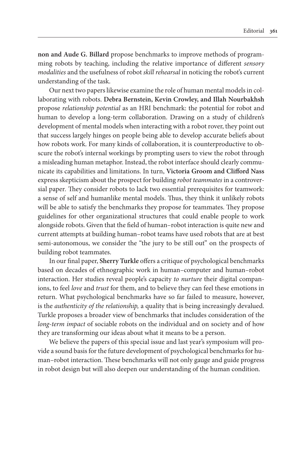**non and Aude G. Billard** propose benchmarks to improve methods of programming robots by teaching, including the relative importance of different *sensory modalities* and the usefulness of robot *skill rehearsal* in noticing the robot's current understanding of the task.

Our next two papers likewise examine the role of human mental models in collaborating with robots. **Debra Bernstein, Kevin Crowley, and Illah Nourbakhsh** propose *relationship potential* as an HRI benchmark: the potential for robot and human to develop a long-term collaboration. Drawing on a study of children's development of mental models when interacting with a robot rover, they point out that success largely hinges on people being able to develop accurate beliefs about how robots work. For many kinds of collaboration, it is counterproductive to obscure the robot's internal workings by prompting users to view the robot through a misleading human metaphor. Instead, the robot interface should clearly communicate its capabilities and limitations. In turn, **Victoria Groom and Clifford Nass** express skepticism about the prospect for building *robot teammates* in a controversial paper*.* They consider robots to lack two essential prerequisites for teamwork: a sense of self and humanlike mental models. Thus, they think it unlikely robots will be able to satisfy the benchmarks they propose for teammates. They propose guidelines for other organizational structures that could enable people to work alongside robots. Given that the field of human–robot interaction is quite new and current attempts at building human–robot teams have used robots that are at best semi-autonomous, we consider the "the jury to be still out" on the prospects of building robot teammates.

In our final paper, **Sherry Turkle** offers a critique of psychological benchmarks based on decades of ethnographic work in human–computer and human–robot interaction. Her studies reveal people's capacity *to nurture* their digital companions, to feel *love* and *trust* for them, and to believe they can feel these emotions in return. What psychological benchmarks have so far failed to measure, however, is the *authenticity of the relationship,* a quality that is being increasingly devalued. Turkle proposes a broader view of benchmarks that includes consideration of the *long-term impact* of sociable robots on the individual and on society and of how they are transforming our ideas about what it means to be a person.

We believe the papers of this special issue and last year's symposium will provide a sound basis for the future development of psychological benchmarks for human–robot interaction. These benchmarks will not only gauge and guide progress in robot design but will also deepen our understanding of the human condition.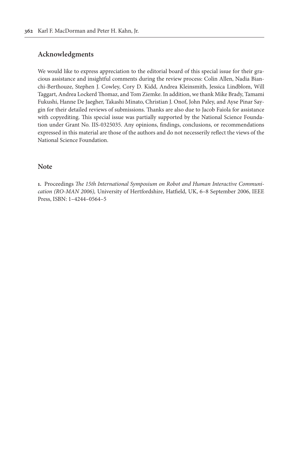## **Acknowledgments**

We would like to express appreciation to the editorial board of this special issue for their gracious assistance and insightful comments during the review process: Colin Allen, Nadia Bianchi-Berthouze, Stephen J. Cowley, Cory D. Kidd, Andrea Kleinsmith, Jessica Lindblom, Will Taggart, Andrea Lockerd Thomaz, and Tom Ziemke. In addition, we thank Mike Brady, Tamami Fukushi, Hanne De Jaegher, Takashi Minato, Christian J. Onof, John Paley, and Ayse Pinar Saygin for their detailed reviews of submissions. Thanks are also due to Jacob Faiola for assistance with copyediting. This special issue was partially supported by the National Science Foundation under Grant No. IIS-0325035. Any opinions, findings, conclusions, or recommendations expressed in this material are those of the authors and do not necesserily reflect the views of the National Science Foundation.

## **Note**

**.** Proceedings *The 15th International Symposium on Robot and Human Interactive Communication (RO-MAN 2006),* University of Hertfordshire, Hatfield, UK, 6–8 September 2006, IEEE Press, ISBN: 1–4244–0564–5